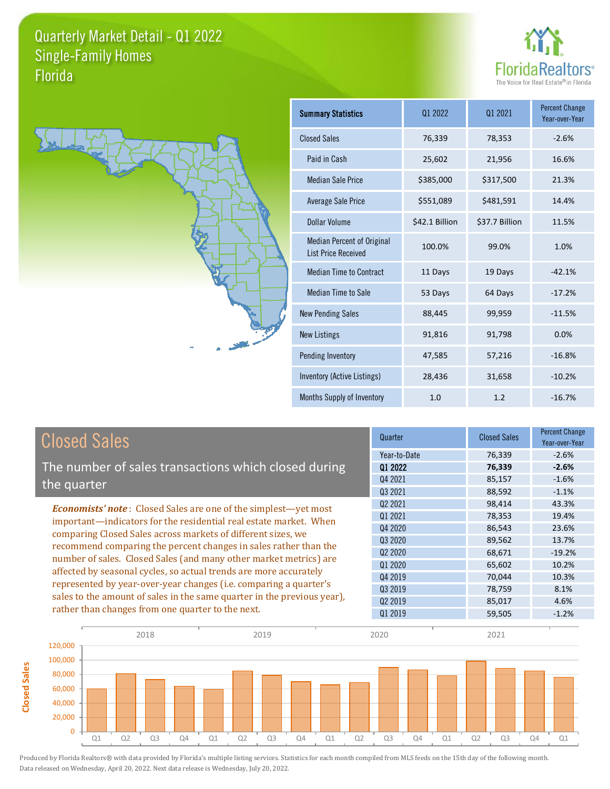**Closed Sales**

**Closed Sales** 





| <b>Summary Statistics</b>                                       | 01 2022        | 01 2021        | <b>Percent Change</b><br>Year-over-Year |
|-----------------------------------------------------------------|----------------|----------------|-----------------------------------------|
| <b>Closed Sales</b>                                             | 76,339         | 78,353         | $-2.6%$                                 |
| Paid in Cash                                                    | 25,602         | 21,956         | 16.6%                                   |
| <b>Median Sale Price</b>                                        | \$385,000      | \$317,500      | 21.3%                                   |
| <b>Average Sale Price</b>                                       | \$551,089      | \$481,591      | 14.4%                                   |
| Dollar Volume                                                   | \$42.1 Billion | \$37.7 Billion | 11.5%                                   |
| <b>Median Percent of Original</b><br><b>List Price Received</b> | 100.0%         | 99.0%          | 1.0%                                    |
| <b>Median Time to Contract</b>                                  | 11 Days        | 19 Days        | $-42.1%$                                |
| <b>Median Time to Sale</b>                                      | 53 Days        | 64 Days        | $-17.2%$                                |
| <b>New Pending Sales</b>                                        | 88,445         | 99,959         | $-11.5%$                                |
| <b>New Listings</b>                                             | 91,816         | 91,798         | 0.0%                                    |
| Pending Inventory                                               | 47,585         | 57,216         | $-16.8%$                                |
| Inventory (Active Listings)                                     | 28,436         | 31,658         | $-10.2%$                                |
| Months Supply of Inventory                                      | 1.0            | 1.2            | $-16.7%$                                |

| <b>Closed Sales</b>                                                                                                              | Quarter             | <b>Closed Sales</b> | <b>Percent Change</b><br>Year-over-Year |
|----------------------------------------------------------------------------------------------------------------------------------|---------------------|---------------------|-----------------------------------------|
|                                                                                                                                  | Year-to-Date        | 76,339              | $-2.6%$                                 |
| The number of sales transactions which closed during                                                                             | 01 2022             | 76,339              | $-2.6%$                                 |
| the quarter                                                                                                                      | Q4 2021             | 85,157              | $-1.6%$                                 |
|                                                                                                                                  | Q3 2021             | 88,592              | $-1.1%$                                 |
| <b>Economists' note:</b> Closed Sales are one of the simplest—yet most                                                           | 02 2021             | 98,414              | 43.3%                                   |
| important-indicators for the residential real estate market. When                                                                | 01 2021             | 78,353              | 19.4%                                   |
| comparing Closed Sales across markets of different sizes, we<br>recommend comparing the percent changes in sales rather than the | Q4 2020             | 86,543              | 23.6%                                   |
|                                                                                                                                  | 03 20 20            | 89,562              | 13.7%                                   |
| number of sales. Closed Sales (and many other market metrics) are                                                                | Q <sub>2</sub> 2020 | 68,671              | $-19.2%$                                |
|                                                                                                                                  | Q1 2020             | 65,602              | 10.2%                                   |
| affected by seasonal cycles, so actual trends are more accurately                                                                | 04 2019             | 70,044              | 10.3%                                   |
| represented by year-over-year changes (i.e. comparing a quarter's                                                                | Q3 2019             | 78,759              | 8.1%                                    |
| sales to the amount of sales in the same quarter in the previous year),                                                          | Q <sub>2</sub> 2019 | 85,017              | 4.6%                                    |
| rather than changes from one quarter to the next.                                                                                | Q1 2019             | 59,505              | $-1.2%$                                 |

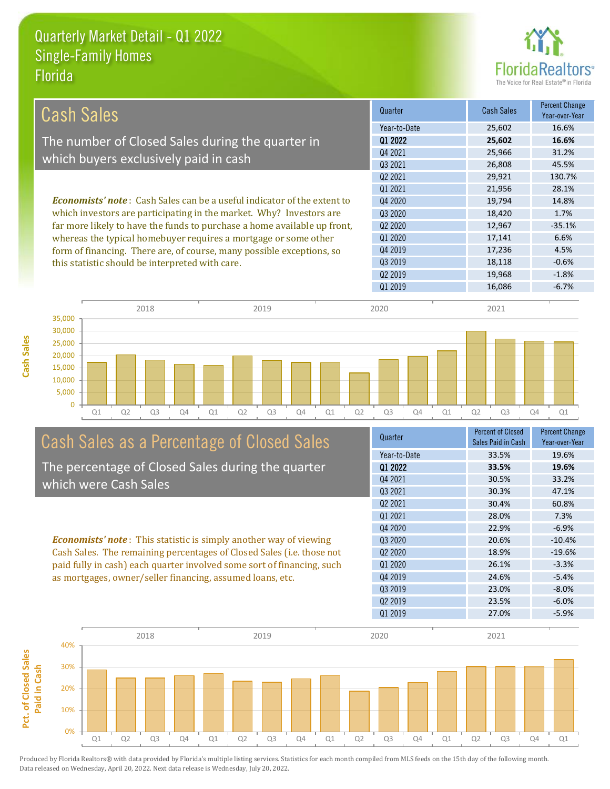

| Cash Sales                                                                     | Quarter      | <b>Cash Sales</b> | <b>Percent Change</b><br>Year-over-Year |
|--------------------------------------------------------------------------------|--------------|-------------------|-----------------------------------------|
|                                                                                | Year-to-Date | 25,602            | 16.6%                                   |
| The number of Closed Sales during the quarter in                               | 01 2022      | 25,602            | 16.6%                                   |
|                                                                                | Q4 2021      | 25,966            | 31.2%                                   |
| which buyers exclusively paid in cash                                          | 03 2021      | 26,808            | 45.5%                                   |
|                                                                                | 02 2021      | 29,921            | 130.7%                                  |
|                                                                                | 01 2021      | 21,956            | 28.1%                                   |
| <b>Economists' note:</b> Cash Sales can be a useful indicator of the extent to | Q4 2020      | 19,794            | 14.8%                                   |
| which investors are participating in the market. Why? Investors are            | 03 2020      | 18,420            | 1.7%                                    |
| far more likely to have the funds to purchase a home available up front,       | 02 2020      | 12,967            | $-35.1%$                                |
| whereas the typical homebuyer requires a mortgage or some other                | 01 2020      | 17,141            | 6.6%                                    |
| form of financing. There are, of course, many possible exceptions, so          | 04 2019      | 17,236            | 4.5%                                    |
| this statistic should be interpreted with care.                                | 03 2019      | 18,118            | $-0.6%$                                 |
|                                                                                | 02 2019      | 19,968            | $-1.8%$                                 |



# Cash Sales as a Percentage of Closed Sales

The percentage of Closed Sales during the quarter which were Cash Sales

*Economists' note* : This statistic is simply another way of viewing Cash Sales. The remaining percentages of Closed Sales (i.e. those not paid fully in cash) each quarter involved some sort of financing, such as mortgages, owner/seller financing, assumed loans, etc.



Q1 2019 16,086 -6.7%

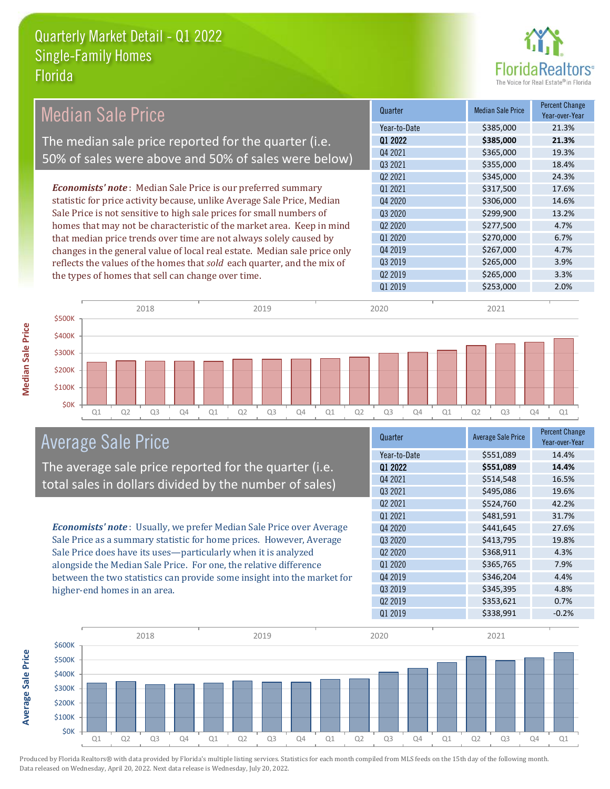

| <b>Median Sale Price</b>                                                  | Quarter                         | <b>Median Sale Price</b> | <b>Percent Change</b><br>Year-over-Year |
|---------------------------------------------------------------------------|---------------------------------|--------------------------|-----------------------------------------|
|                                                                           | Year-to-Date                    | \$385,000                | 21.3%                                   |
| The median sale price reported for the quarter (i.e.                      | Q1 2022                         | \$385,000                | 21.3%                                   |
|                                                                           | Q4 2021                         | \$365,000                | 19.3%                                   |
| 50% of sales were above and 50% of sales were below)                      | Q3 2021                         | \$355,000                | 18.4%                                   |
|                                                                           | Q <sub>2</sub> 2021             | \$345,000                | 24.3%                                   |
| <b>Economists' note</b> : Median Sale Price is our preferred summary      | Q1 2021                         | \$317,500                | 17.6%                                   |
| statistic for price activity because, unlike Average Sale Price, Median   | Q4 2020                         | \$306,000                | 14.6%                                   |
| Sale Price is not sensitive to high sale prices for small numbers of      | Q3 2020                         | \$299,900                | 13.2%                                   |
| homes that may not be characteristic of the market area. Keep in mind     | Q <sub>2</sub> 20 <sub>20</sub> | \$277,500                | 4.7%                                    |
| that median price trends over time are not always solely caused by        | Q1 2020                         | \$270,000                | 6.7%                                    |
| changes in the general value of local real estate. Median sale price only | Q4 2019                         | \$267,000                | 4.7%                                    |
| reflects the values of the homes that sold each quarter, and the mix of   | Q3 2019                         | \$265,000                | 3.9%                                    |
| the types of homes that sell can change over time.                        | Q <sub>2</sub> 2019             | \$265,000                | 3.3%                                    |
|                                                                           | Q1 2019                         | \$253,000                | 2.0%                                    |
|                                                                           |                                 |                          |                                         |
| 2018<br>2019                                                              | 2020                            | 2021                     |                                         |
| \$500K                                                                    |                                 |                          |                                         |
| \$400K                                                                    |                                 |                          |                                         |

Q1 Q2 Q3 Q4 Q1 Q2 Q3 Q4 Q1 Q2 Q3 Q4 Q1 Q2 Q3 Q4 Q1



\$0K \$100K \$200K \$300K

The average sale price reported for the quarter (i.e. total sales in dollars divided by the number of sales)

*Economists' note* : Usually, we prefer Median Sale Price over Average Sale Price as a summary statistic for home prices. However, Average Sale Price does have its uses—particularly when it is analyzed alongside the Median Sale Price. For one, the relative difference between the two statistics can provide some insight into the market for higher-end homes in an area.

| Quarter                         | <b>Average Sale Price</b> | <b>Percent Change</b><br>Year-over-Year |
|---------------------------------|---------------------------|-----------------------------------------|
| Year-to-Date                    | \$551,089                 | 14.4%                                   |
| 01 2022                         | \$551,089                 | 14.4%                                   |
| Q4 2021                         | \$514,548                 | 16.5%                                   |
| Q3 2021                         | \$495,086                 | 19.6%                                   |
| Q2 2021                         | \$524,760                 | 42.2%                                   |
| Q1 2021                         | \$481,591                 | 31.7%                                   |
| Q4 2020                         | \$441,645                 | 27.6%                                   |
| Q3 2020                         | \$413,795                 | 19.8%                                   |
| Q <sub>2</sub> 20 <sub>20</sub> | \$368,911                 | 4.3%                                    |
| Q1 2020                         | \$365,765                 | 7.9%                                    |
| Q4 2019                         | \$346,204                 | 4.4%                                    |
| Q3 2019                         | \$345,395                 | 4.8%                                    |
| Q <sub>2</sub> 2019             | \$353,621                 | 0.7%                                    |
| Q1 2019                         | \$338,991                 | $-0.2%$                                 |



**Average Sale Price**

**Average Sale Price**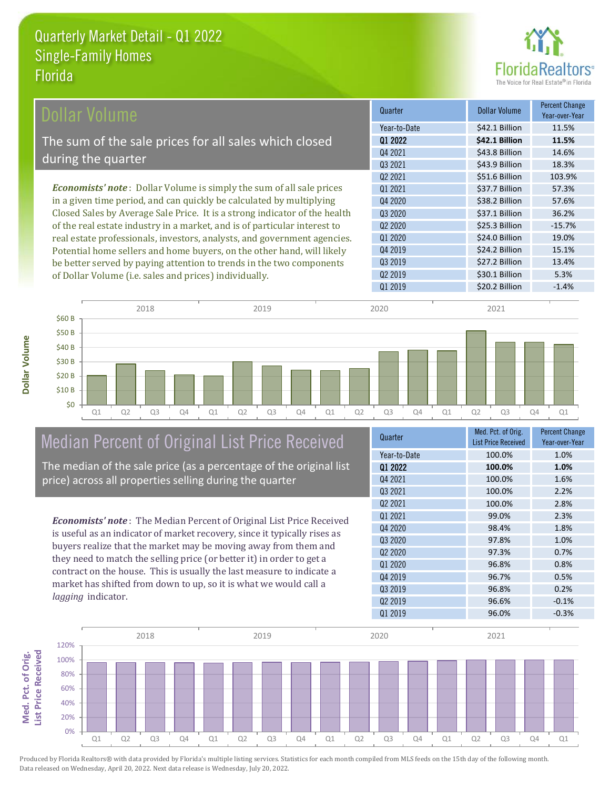

| Dollar Volume                                                                | Quarter             | <b>Dollar Volume</b> | <b>Percent Change</b><br>Year-over-Year |
|------------------------------------------------------------------------------|---------------------|----------------------|-----------------------------------------|
|                                                                              | Year-to-Date        | \$42.1 Billion       | 11.5%                                   |
| The sum of the sale prices for all sales which closed                        | 01 2022             | \$42.1 Billion       | 11.5%                                   |
|                                                                              | Q4 2021             | \$43.8 Billion       | 14.6%                                   |
| during the quarter                                                           | Q3 2021             | \$43.9 Billion       | 18.3%                                   |
|                                                                              | Q <sub>2</sub> 2021 | \$51.6 Billion       | 103.9%                                  |
| <b>Economists' note</b> : Dollar Volume is simply the sum of all sale prices | Q1 2021             | \$37.7 Billion       | 57.3%                                   |
| in a given time period, and can quickly be calculated by multiplying         | Q4 2020             | \$38.2 Billion       | 57.6%                                   |
| Closed Sales by Average Sale Price. It is a strong indicator of the health   | Q3 2020             | \$37.1 Billion       | 36.2%                                   |
| of the real estate industry in a market, and is of particular interest to    | Q <sub>2</sub> 2020 | \$25.3 Billion       | $-15.7%$                                |
| real estate professionals, investors, analysts, and government agencies.     | Q1 2020             | \$24.0 Billion       | 19.0%                                   |
| Potential home sellers and home buyers, on the other hand, will likely       | Q4 2019             | \$24.2 Billion       | 15.1%                                   |
| be better served by paying attention to trends in the two components         | Q3 2019             | \$27.2 Billion       | 13.4%                                   |

Q1 Q2 Q3 Q4 Q1 Q2 Q3 Q4 Q1 Q2 Q3 Q4 Q1 Q2 Q3 Q4 Q1 2018 2019 2020 2021 \$0 \$10 B \$20 B \$30 B \$40 B \$50 B \$60 B

### Median Percent of Original List Price Received

The median of the sale price (as a percentage of the original list

*Economists' note* : The Median Percent of Original List Price Received is useful as an indicator of market recovery, since it typically rises as buyers realize that the market may be moving away from them and they need to match the selling price (or better it) in order to get a contract on the house. This is usually the last measure to indicate a market has shifted from down to up, so it is what we would call a *lagging* indicator.

| <b>List Price Received</b><br>Year-over-Year<br>100.0%<br>1.0%<br>Year-to-Date<br>01 2022<br>100.0%<br>1.0%<br>04 2021<br>100.0%<br>1.6%<br>03 2021<br>100.0%<br>2.2%<br>02 2021<br>100.0%<br>2.8%<br>01 2021<br>99.0%<br>2.3%<br>Q4 2020<br>1.8%<br>98.4%<br>Q3 2020<br>1.0%<br>97.8%<br>Q <sub>2</sub> 20 <sub>20</sub><br>97.3%<br>0.7%<br>01 2020<br>96.8%<br>0.8%<br>Q4 2019<br>96.7%<br>0.5%<br>03 2019<br>96.8%<br>0.2%<br>Q <sub>2</sub> 2019<br>$-0.1%$<br>96.6%<br>Q1 2019<br>96.0%<br>$-0.3%$ | Quarter | Med. Pct. of Orig. | <b>Percent Change</b> |
|----------------------------------------------------------------------------------------------------------------------------------------------------------------------------------------------------------------------------------------------------------------------------------------------------------------------------------------------------------------------------------------------------------------------------------------------------------------------------------------------------------|---------|--------------------|-----------------------|
|                                                                                                                                                                                                                                                                                                                                                                                                                                                                                                          |         |                    |                       |
|                                                                                                                                                                                                                                                                                                                                                                                                                                                                                                          |         |                    |                       |
|                                                                                                                                                                                                                                                                                                                                                                                                                                                                                                          |         |                    |                       |
|                                                                                                                                                                                                                                                                                                                                                                                                                                                                                                          |         |                    |                       |
|                                                                                                                                                                                                                                                                                                                                                                                                                                                                                                          |         |                    |                       |
|                                                                                                                                                                                                                                                                                                                                                                                                                                                                                                          |         |                    |                       |
|                                                                                                                                                                                                                                                                                                                                                                                                                                                                                                          |         |                    |                       |
|                                                                                                                                                                                                                                                                                                                                                                                                                                                                                                          |         |                    |                       |
|                                                                                                                                                                                                                                                                                                                                                                                                                                                                                                          |         |                    |                       |
|                                                                                                                                                                                                                                                                                                                                                                                                                                                                                                          |         |                    |                       |
|                                                                                                                                                                                                                                                                                                                                                                                                                                                                                                          |         |                    |                       |
|                                                                                                                                                                                                                                                                                                                                                                                                                                                                                                          |         |                    |                       |
|                                                                                                                                                                                                                                                                                                                                                                                                                                                                                                          |         |                    |                       |
|                                                                                                                                                                                                                                                                                                                                                                                                                                                                                                          |         |                    |                       |
|                                                                                                                                                                                                                                                                                                                                                                                                                                                                                                          |         |                    |                       |

Q1 2019 **S20.2 Billion** -1.4%

Q2 2019 \$30.1 Billion 5.3%



**Dollar Volume**

Dollar Volume

**Med. Pct. of Orig.** 

Med. Pct. of Orig.

price) across all properties selling during the quarter

of Dollar Volume (i.e. sales and prices) individually.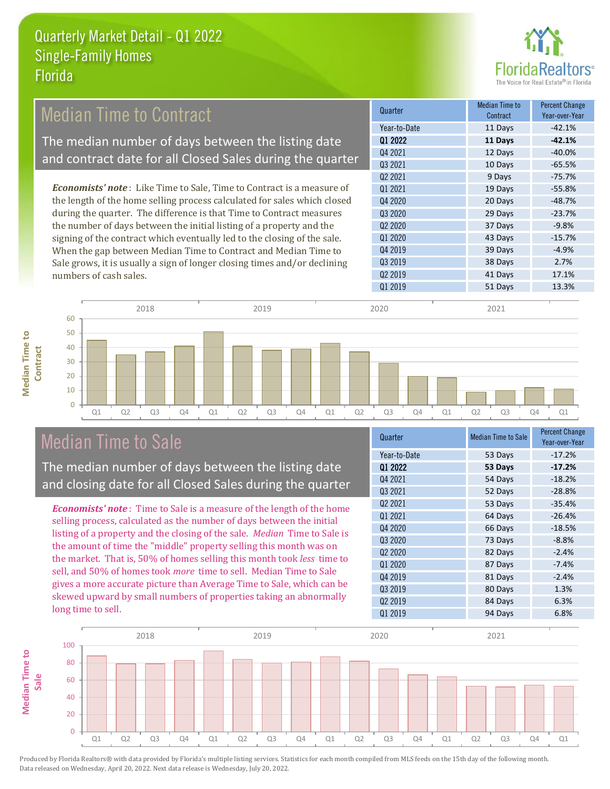

#### **Current Median Time to** Contract Percent Change Q3 2021 *Economists' note* : Like Time to Sale, Time to Contract is a measure of the length of the home selling process calculated for sales which closed during the quarter. The difference is that Time to Contract measures the number of days between the initial listing of a property and the Median Time to Contract The median number of days between the listing date and contract date for all Closed Sales during the quarter

signing of the contract which eventually led to the closing of the sale. When the gap between Median Time to Contract and Median Time to Sale grows, it is usually a sign of longer closing times and/or declining numbers of cash sales.

| uuallol                         | Contract | Year-over-Year |
|---------------------------------|----------|----------------|
| Year-to-Date                    | 11 Days  | $-42.1%$       |
| 01 2022                         | 11 Days  | $-42.1%$       |
| Q4 2021                         | 12 Days  | $-40.0%$       |
| 03 2021                         | 10 Days  | $-65.5%$       |
| Q2 2021                         | 9 Days   | $-75.7%$       |
| 01 2021                         | 19 Days  | $-55.8%$       |
| Q4 2020                         | 20 Days  | $-48.7%$       |
| 03 20 20                        | 29 Days  | $-23.7%$       |
| Q <sub>2</sub> 20 <sub>20</sub> | 37 Days  | $-9.8%$        |
| 01 2020                         | 43 Days  | $-15.7%$       |
| Q4 2019                         | 39 Days  | $-4.9%$        |
| Q3 2019                         | 38 Days  | 2.7%           |
| Q <sub>2</sub> 2019             | 41 Days  | 17.1%          |
| Q1 2019                         | 51 Days  | 13.3%          |

### Median Time to Sale

**Median Time to Contract**

**Median Time to** 

The median number of days between the listing date and closing date for all Closed Sales during the quarter

*Economists' note* : Time to Sale is a measure of the length of the home selling process, calculated as the number of days between the initial listing of a property and the closing of the sale. *Median* Time to Sale is the amount of time the "middle" property selling this month was on the market. That is, 50% of homes selling this month took *less* time to sell, and 50% of homes took *more* time to sell. Median Time to Sale gives a more accurate picture than Average Time to Sale, which can be skewed upward by small numbers of properties taking an abnormally long time to sell.

| Quarter                         | <b>Median Time to Sale</b> | Percent Change<br>Year-over-Year |
|---------------------------------|----------------------------|----------------------------------|
| Year-to-Date                    | 53 Days                    | $-17.2%$                         |
| 01 2022                         | 53 Days                    | $-17.2%$                         |
| Q4 2021                         | 54 Days                    | $-18.2%$                         |
| 03 2021                         | 52 Days                    | $-28.8%$                         |
| Q <sub>2</sub> 2021             | 53 Days                    | $-35.4%$                         |
| Q1 2021                         | 64 Days                    | $-26.4%$                         |
| Q4 2020                         | 66 Days                    | $-18.5%$                         |
| Q3 2020                         | 73 Days                    | $-8.8%$                          |
| Q <sub>2</sub> 20 <sub>20</sub> | 82 Days                    | $-2.4%$                          |
| 01 2020                         | 87 Days                    | $-7.4%$                          |
| Q4 2019                         | 81 Days                    | $-2.4%$                          |
| Q3 2019                         | 80 Days                    | 1.3%                             |
| Q <sub>2</sub> 2019             | 84 Days                    | 6.3%                             |
| Q1 2019                         | 94 Days                    | 6.8%                             |
|                                 |                            |                                  |



Q1 Q2 Q3 Q4 Q1 Q2 Q3 Q4 Q1 Q2 Q3 Q4 Q1 Q2 Q3 Q4 Q1

2018 2019 2020 2021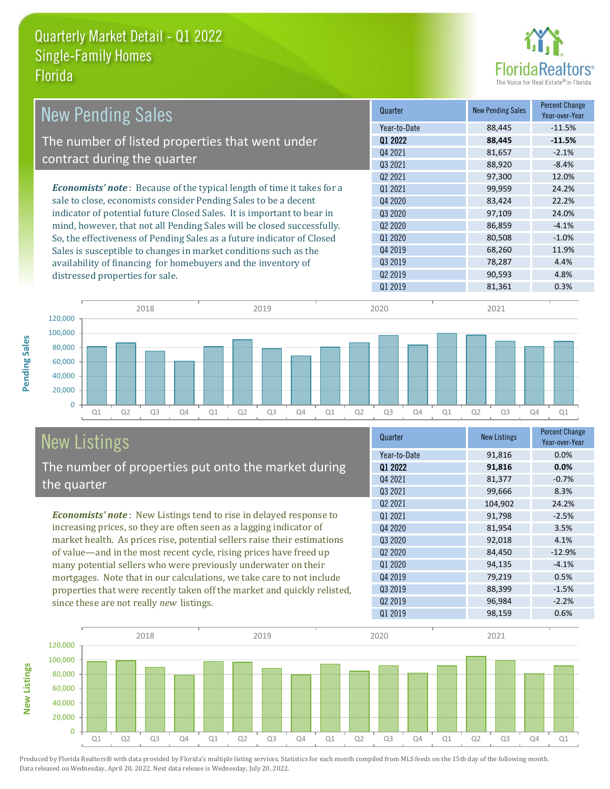

| <b>New Pending Sales</b>                                                      | Quarter             | <b>New Pending Sales</b> | <b>Percent Change</b><br>Year-over-Year |
|-------------------------------------------------------------------------------|---------------------|--------------------------|-----------------------------------------|
|                                                                               | Year-to-Date        | 88,445                   | $-11.5%$                                |
| The number of listed properties that went under                               | 01 2022             | 88,445                   | $-11.5%$                                |
|                                                                               | Q4 2021             | 81,657                   | $-2.1%$                                 |
| contract during the quarter                                                   | 03 2021             | 88,920                   | $-8.4%$                                 |
|                                                                               | 02 2021             | 97,300                   | 12.0%                                   |
| <b>Economists' note:</b> Because of the typical length of time it takes for a | 01 2021             | 99,959                   | 24.2%                                   |
| sale to close, economists consider Pending Sales to be a decent               | Q4 2020             | 83,424                   | 22.2%                                   |
| indicator of potential future Closed Sales. It is important to bear in        | 03 2020             | 97,109                   | 24.0%                                   |
| mind, however, that not all Pending Sales will be closed successfully.        | Q <sub>2</sub> 2020 | 86,859                   | $-4.1%$                                 |
| So, the effectiveness of Pending Sales as a future indicator of Closed        | Q1 2020             | 80,508                   | $-1.0%$                                 |
| Sales is susceptible to changes in market conditions such as the              | Q4 2019             | 68,260                   | 11.9%                                   |
| availability of financing for homebuyers and the inventory of                 | Q3 2019             | 78,287                   | 4.4%                                    |
| distressed properties for sale.                                               | Q <sub>2</sub> 2019 | 90,593                   | 4.8%                                    |
|                                                                               | 01 2019             | 81,361                   | 0.3%                                    |



## New Listings

The number of properties put onto the market during the quarter

*Economists' note* : New Listings tend to rise in delayed response to increasing prices, so they are often seen as a lagging indicator of market health. As prices rise, potential sellers raise their estimations of value—and in the most recent cycle, rising prices have freed up many potential sellers who were previously underwater on their mortgages. Note that in our calculations, we take care to not include properties that were recently taken off the market and quickly relisted, since these are not really *new* listings.

| Quarter                         | <b>New Listings</b> | Percent Change<br>Year-over-Year |
|---------------------------------|---------------------|----------------------------------|
| Year-to-Date                    | 91,816              | 0.0%                             |
| Q1 2022                         | 91,816              | 0.0%                             |
| Q4 2021                         | 81,377              | $-0.7%$                          |
| 03 2021                         | 99,666              | 8.3%                             |
| Q2 2021                         | 104,902             | 24.2%                            |
| 01 2021                         | 91,798              | $-2.5%$                          |
| Q4 2020                         | 81,954              | 3.5%                             |
| 03 2020                         | 92,018              | 4.1%                             |
| Q <sub>2</sub> 20 <sub>20</sub> | 84,450              | $-12.9%$                         |
| 01 2020                         | 94,135              | $-4.1%$                          |
| Q4 2019                         | 79,219              | 0.5%                             |
| Q3 2019                         | 88,399              | $-1.5%$                          |
| Q <sub>2</sub> 2019             | 96,984              | $-2.2%$                          |
| 01 2019                         | 98,159              | 0.6%                             |



Produced by Florida Realtors® with data provided by Florida's multiple listing services. Statistics for each month compiled from MLS feeds on the 15th day of the following month. Data released on Wednesday, April 20, 2022. Next data release is Wednesday, July 20, 2022.

**New Listings**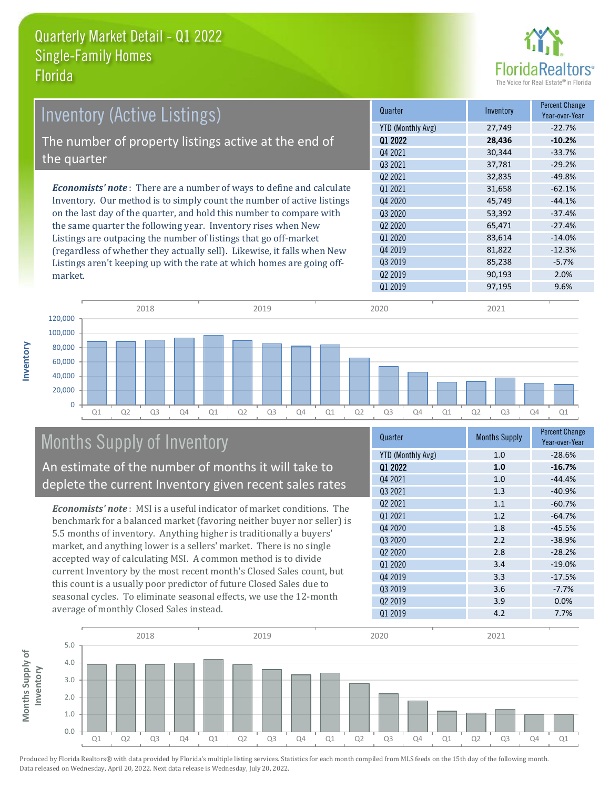

| <b>Inventory (Active Listings)</b>                                           | Quarter             | Inventory | <b>Percent Change</b><br>Year-over-Year |
|------------------------------------------------------------------------------|---------------------|-----------|-----------------------------------------|
|                                                                              | YTD (Monthly Avg)   | 27,749    | $-22.7%$                                |
| The number of property listings active at the end of                         | 01 2022             | 28,436    | $-10.2%$                                |
|                                                                              | Q4 2021             | 30,344    | $-33.7%$                                |
| the quarter                                                                  | 03 2021             | 37,781    | $-29.2%$                                |
|                                                                              | Q <sub>2</sub> 2021 | 32,835    | $-49.8%$                                |
| <b>Economists' note</b> : There are a number of ways to define and calculate | 01 2021             | 31,658    | $-62.1%$                                |
| Inventory. Our method is to simply count the number of active listings       | Q4 2020             | 45,749    | $-44.1%$                                |
| on the last day of the quarter, and hold this number to compare with         | Q3 2020             | 53,392    | $-37.4%$                                |
| the same quarter the following year. Inventory rises when New                | Q <sub>2</sub> 2020 | 65,471    | $-27.4%$                                |
| Listings are outpacing the number of listings that go off-market             | Q1 2020             | 83,614    | $-14.0%$                                |
| (regardless of whether they actually sell). Likewise, it falls when New      | Q4 2019             | 81,822    | $-12.3%$                                |
| Listings aren't keeping up with the rate at which homes are going off-       | Q3 2019             | 85,238    | $-5.7%$                                 |

Q1 Q2 Q3 Q4 Q1 Q2 Q3 Q4 Q1 Q2 Q3 Q4 Q1 Q2 Q3 Q4 Q1  $\Omega$ 20,000 40,000 60,000 80,000 100,000 120,000 2018 2019 2020 2021

### Months Supply of Inventory

market.

**Inventory**

An estimate of the number of months it will take to deplete the current Inventory given recent sales rates

Listings aren't keeping up with the rate at which homes are going off-

*Economists' note* : MSI is a useful indicator of market conditions. The benchmark for a balanced market (favoring neither buyer nor seller) is 5.5 months of inventory. Anything higher is traditionally a buyers' market, and anything lower is a sellers' market. There is no single accepted way of calculating MSI. A common method is to divide current Inventory by the most recent month's Closed Sales count, but this count is a usually poor predictor of future Closed Sales due to seasonal cycles. To eliminate seasonal effects, we use the 12-month average of monthly Closed Sales instead.

| Quarter             | <b>Months Supply</b> | <b>Percent Change</b><br>Year-over-Year |
|---------------------|----------------------|-----------------------------------------|
| YTD (Monthly Avg)   | 1.0                  | $-28.6%$                                |
| 01 2022             | 1.0                  | $-16.7%$                                |
| Q4 2021             | 1.0                  | $-44.4%$                                |
| 03 2021             | 1.3                  | $-40.9%$                                |
| Q <sub>2</sub> 2021 | 1.1                  | $-60.7%$                                |
| 01 2021             | 1.2                  | $-64.7%$                                |
| Q4 2020             | 1.8                  | $-45.5%$                                |
| Q3 2020             | 2.2                  | $-38.9%$                                |
| 02 2020             | 2.8                  | $-28.2%$                                |
| 01 2020             | 3.4                  | $-19.0%$                                |
| Q4 2019             | 3.3                  | $-17.5%$                                |
| Q3 2019             | 3.6                  | $-7.7%$                                 |
| Q <sub>2</sub> 2019 | 3.9                  | 0.0%                                    |
| Q1 2019             | 4.2                  | 7.7%                                    |

Q1 2019 97,195 97,195

Q2 2019 90,193 2.0%

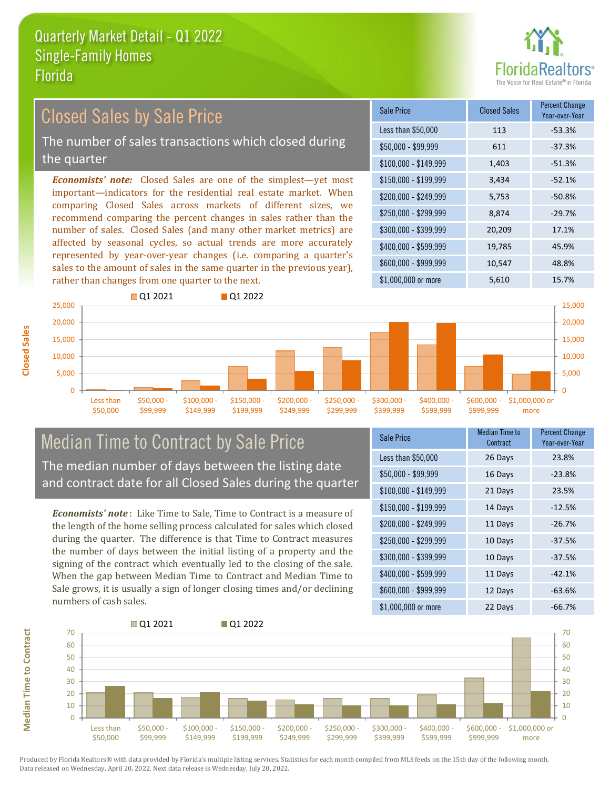

### Closed Sales by Sale Price

The number of sales transactions which closed during the quarter

*Economists' note:* Closed Sales are one of the simplest—yet most important—indicators for the residential real estate market. When comparing Closed Sales across markets of different sizes, we recommend comparing the percent changes in sales rather than the number of sales. Closed Sales (and many other market metrics) are affected by seasonal cycles, so actual trends are more accurately represented by year-over-year changes (i.e. comparing a quarter's sales to the amount of sales in the same quarter in the previous year), rather than changes from one quarter to the next.





# Median Time to Contract by Sale Price The median number of days between the listing date

*Economists' note* : Like Time to Sale, Time to Contract is a measure of Sale grows, it is usually a sign of longer closing times and/or declining numbers of cash sales.

| <b>Sale Price</b>     | <b>Median Time to</b><br>Contract | <b>Percent Change</b><br>Year-over-Year |
|-----------------------|-----------------------------------|-----------------------------------------|
| Less than \$50,000    | 26 Days                           | 23.8%                                   |
| \$50,000 - \$99,999   | 16 Days                           | $-23.8%$                                |
| $$100,000 - $149,999$ | 21 Days                           | 23.5%                                   |
| \$150,000 - \$199,999 | 14 Days                           | $-12.5%$                                |
| \$200,000 - \$249,999 | 11 Days                           | $-26.7%$                                |
| \$250,000 - \$299,999 | 10 Days                           | $-37.5%$                                |
| \$300,000 - \$399,999 | 10 Days                           | $-37.5%$                                |
| \$400,000 - \$599,999 | 11 Days                           | $-42.1%$                                |
| \$600,000 - \$999,999 | 12 Days                           | $-63.6%$                                |
| \$1,000,000 or more   | 22 Days                           | $-66.7%$                                |



**Closed Sales**

and contract date for all Closed Sales during the quarter

the length of the home selling process calculated for sales which closed during the quarter. The difference is that Time to Contract measures the number of days between the initial listing of a property and the signing of the contract which eventually led to the closing of the sale. When the gap between Median Time to Contract and Median Time to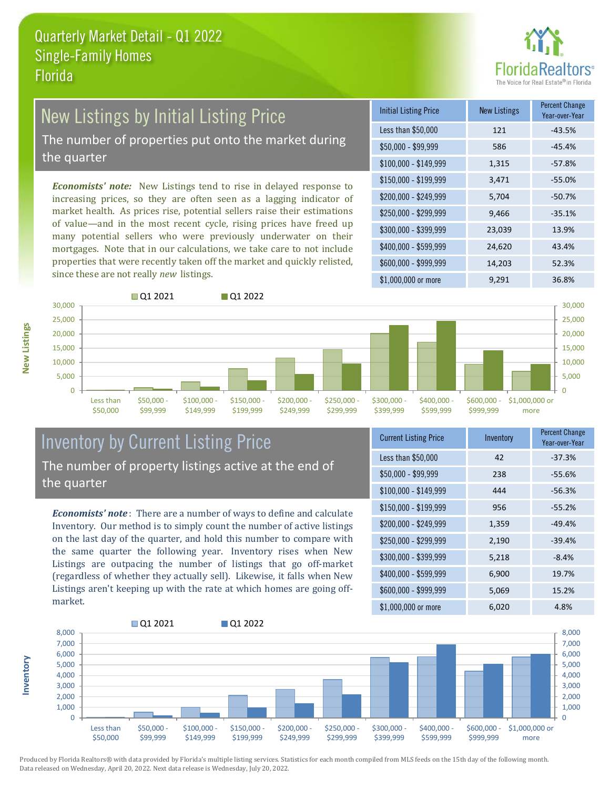

### New Listings by Initial Listing Price

The number of properties put onto the market during the quarter

*Economists' note:* New Listings tend to rise in delayed response to increasing prices, so they are often seen as a lagging indicator of market health. As prices rise, potential sellers raise their estimations of value—and in the most recent cycle, rising prices have freed up many potential sellers who were previously underwater on their mortgages. Note that in our calculations, we take care to not include properties that were recently taken off the market and quickly relisted, since these are not really *new* listings.

| <b>Initial Listing Price</b> | <b>New Listings</b> | <b>Percent Change</b><br>Year-over-Year |
|------------------------------|---------------------|-----------------------------------------|
| Less than \$50,000           | 121                 | $-43.5%$                                |
| \$50,000 - \$99,999          | 586                 | $-45.4%$                                |
| $$100,000 - $149,999$        | 1,315               | $-57.8%$                                |
| $$150,000 - $199,999$        | 3,471               | $-55.0%$                                |
| \$200,000 - \$249,999        | 5,704               | $-50.7%$                                |
| \$250,000 - \$299,999        | 9,466               | $-35.1%$                                |
| \$300,000 - \$399,999        | 23,039              | 13.9%                                   |
| \$400,000 - \$599,999        | 24,620              | 43.4%                                   |
| \$600,000 - \$999,999        | 14,203              | 52.3%                                   |
| \$1,000,000 or more          | 9,291               | 36.8%                                   |



### Inventory by Current Listing Price The number of property listings active at the end of the quarter

*Economists' note* : There are a number of ways to define and calculate Inventory. Our method is to simply count the number of active listings on the last day of the quarter, and hold this number to compare with the same quarter the following year. Inventory rises when New Listings are outpacing the number of listings that go off-market (regardless of whether they actually sell). Likewise, it falls when New Listings aren't keeping up with the rate at which homes are going offmarket.

| <b>Current Listing Price</b> | Inventory | Percent Change<br>Year-over-Year |
|------------------------------|-----------|----------------------------------|
| Less than \$50,000           | 42        | $-37.3%$                         |
| $$50,000 - $99,999$          | 238       | $-55.6%$                         |
| $$100,000 - $149,999$        | 444       | $-56.3%$                         |
| $$150,000 - $199,999$        | 956       | $-55.2%$                         |
| \$200,000 - \$249,999        | 1,359     | $-49.4%$                         |
| \$250,000 - \$299,999        | 2,190     | $-39.4%$                         |
| \$300,000 - \$399,999        | 5,218     | $-8.4%$                          |
| \$400,000 - \$599,999        | 6,900     | 19.7%                            |
| \$600,000 - \$999,999        | 5,069     | 15.2%                            |
| \$1,000,000 or more          | 6,020     | 4.8%                             |

![](_page_8_Figure_10.jpeg)

**New Listings**

**Inventory**